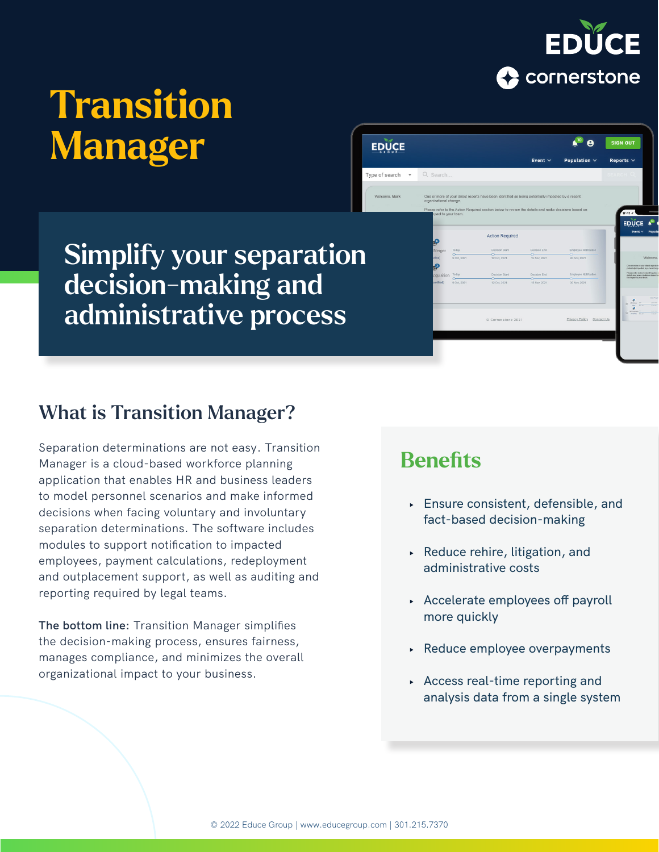

**SIGN OUT** 

FDIICE

# Transition Manager

Simplify your separation decision-making and administrative process

## What is Transition Manager?

Separation determinations are not easy. Transition Manager is a cloud-based workforce planning application that enables HR and business leaders to model personnel scenarios and make informed decisions when facing voluntary and involuntary separation determinations. The software includes modules to support notification to impacted employees, payment calculations, redeployment and outplacement support, as well as auditing and reporting required by legal teams.

**The bottom line:** Transition Manager simplifies the decision-making process, ensures fairness, manages compliance, and minimizes the overall organizational impact to your business.

## **Benefits**

**EDUCE** 

Type of search

- **‣** Ensure consistent, defensible, and fact-based decision-making
- **‣** Reduce rehire, litigation, and administrative costs

**Action Required** 

- **‣** Accelerate employees off payroll more quickly
- **‣** Reduce employee overpayments
- **‣** Access real-time reporting and analysis data from a single system